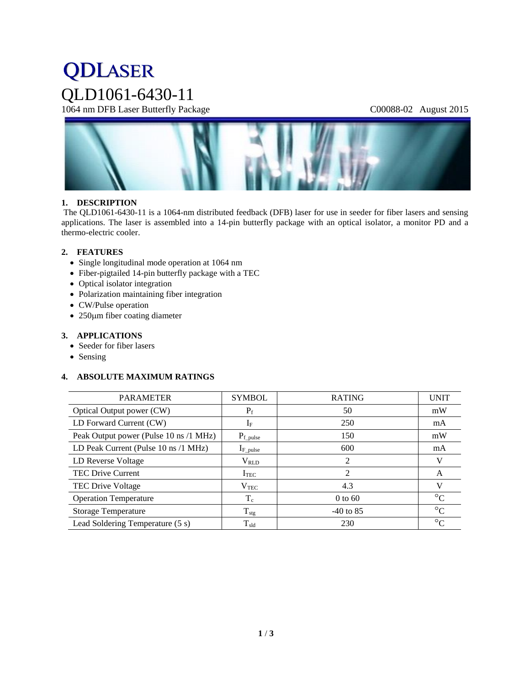# **QDLASER** QLD1061-6430-11

1064 nm DFB Laser Butterfly Package C00088-02 August 2015



# **1. DESCRIPTION**

The QLD1061-6430-11 is a 1064-nm distributed feedback (DFB) laser for use in seeder for fiber lasers and sensing applications. The laser is assembled into a 14-pin butterfly package with an optical isolator, a monitor PD and a thermo-electric cooler.

# **2. FEATURES**

- Single longitudinal mode operation at 1064 nm
- Fiber-pigtailed 14-pin butterfly package with a TEC
- Optical isolator integration
- Polarization maintaining fiber integration
- CW/Pulse operation
- $\bullet$  250 $\mu$ m fiber coating diameter

# **3. APPLICATIONS**

- Seeder for fiber lasers
- Sensing

# **4. ABSOLUTE MAXIMUM RATINGS**

| <b>PARAMETER</b>                       | <b>SYMBOL</b>  | <b>RATING</b> | <b>UNIT</b>     |
|----------------------------------------|----------------|---------------|-----------------|
| Optical Output power (CW)              | $P_f$          | 50            | mW              |
| LD Forward Current (CW)                | $I_{\rm F}$    | 250           | mA              |
| Peak Output power (Pulse 10 ns /1 MHz) | $P_{f\_pulse}$ | 150           | mW              |
| LD Peak Current (Pulse 10 ns /1 MHz)   | $I_{F\_pulse}$ | 600           | mA              |
| LD Reverse Voltage                     | $\rm V_{RLD}$  | 2             | V               |
| <b>TEC Drive Current</b>               | ITEC           | 2             | A               |
| TEC Drive Voltage                      | $V_{\rm TEC}$  | 4.3           | V               |
| <b>Operation Temperature</b>           | $T_c$          | $0$ to 60     | $\rm ^{\circ}C$ |
| <b>Storage Temperature</b>             | $T_{\rm stg}$  | $-40$ to 85   | $\rm ^{\circ}C$ |
| Lead Soldering Temperature (5 s)       | $T_{\rm sld}$  | 230           | $\rm ^{\circ}C$ |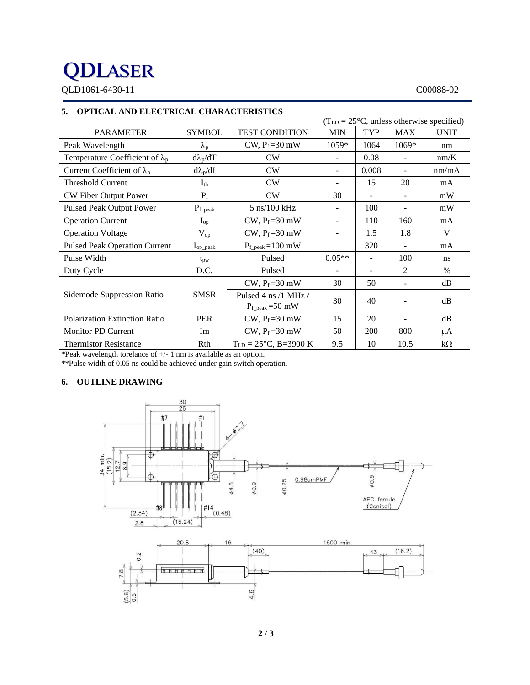# **QDLASER**

QLD1061-6430-11 C00088-02

# **5. OPTICAL AND ELECTRICAL CHARACTERISTICS**

|                                        | $(TLD = 25oC, unless otherwise specified)$ |                                                                   |                          |                          |                          |             |
|----------------------------------------|--------------------------------------------|-------------------------------------------------------------------|--------------------------|--------------------------|--------------------------|-------------|
| <b>PARAMETER</b>                       | <b>SYMBOL</b>                              | <b>TEST CONDITION</b>                                             | <b>MIN</b>               | <b>TYP</b>               | <b>MAX</b>               | <b>UNIT</b> |
| Peak Wavelength                        | $\lambda_{\rm p}$                          | CW, $P_f = 30$ mW                                                 | 1059*                    | 1064                     | 1069*                    | nm          |
| Temperature Coefficient of $\lambda_p$ | $d\lambda_p/dT$                            | CW                                                                | $\overline{\phantom{a}}$ | 0.08                     | $\overline{\phantom{0}}$ | nm/K        |
| Current Coefficient of $\lambda_p$     | $d\lambda_p/dI$                            | CW                                                                | $\overline{\phantom{a}}$ | 0.008                    | $\sim$                   | nm/mA       |
| <b>Threshold Current</b>               | $I_{th}$                                   | CW                                                                |                          | 15                       | 20                       | mA          |
| CW Fiber Output Power                  | $P_f$                                      | CW                                                                | 30                       | $\overline{\phantom{a}}$ | $\overline{\phantom{a}}$ | mW          |
| <b>Pulsed Peak Output Power</b>        | $P_{f\_peak}$                              | $5 \text{ ns}/100 \text{ kHz}$                                    | $\overline{\phantom{a}}$ | 100                      | $\overline{\phantom{0}}$ | mW          |
| <b>Operation Current</b>               | $I_{op}$                                   | CW, $P_f = 30$ mW                                                 |                          | 110                      | 160                      | mA          |
| <b>Operation Voltage</b>               | $V_{op}$                                   | CW, $P_f = 30$ mW                                                 |                          | 1.5                      | 1.8                      | V           |
| <b>Pulsed Peak Operation Current</b>   | $I_{op\_peak}$                             | $P_{f_{\text{-peak}}}=100 \text{ mW}$                             |                          | 320                      |                          | mA          |
| Pulse Width                            | $t_{\rm pw}$                               | Pulsed                                                            | $0.05**$                 |                          | 100                      | ns          |
| Duty Cycle                             | D.C.                                       | Pulsed                                                            |                          |                          | $\overline{c}$           | $\%$        |
|                                        |                                            | CW, $P_f = 30$ mW                                                 | 30                       | 50                       |                          | dB          |
| Sidemode Suppression Ratio             | <b>SMSR</b>                                | Pulsed 4 ns $/1$ MHz $/$<br>$P_{f_{\text{peak}}} = 50 \text{ mW}$ | 30                       | 40                       |                          | dB          |
| Polarization Extinction Ratio          | <b>PER</b>                                 | CW, $P_f = 30$ mW                                                 | 15                       | 20                       |                          | dB          |
| <b>Monitor PD Current</b>              | Im                                         | CW, $P_f = 30$ mW                                                 | 50                       | 200                      | 800                      | μA          |
| <b>Thermistor Resistance</b>           | Rth                                        | $T_{LD} = 25^{\circ}C$ , B=3900 K                                 | 9.5                      | 10                       | 10.5                     | $k\Omega$   |

\*Peak wavelength torelance of +/- 1 nm is available as an option.

\*\*Pulse width of 0.05 ns could be achieved under gain switch operation.

# **6. OUTLINE DRAWING**